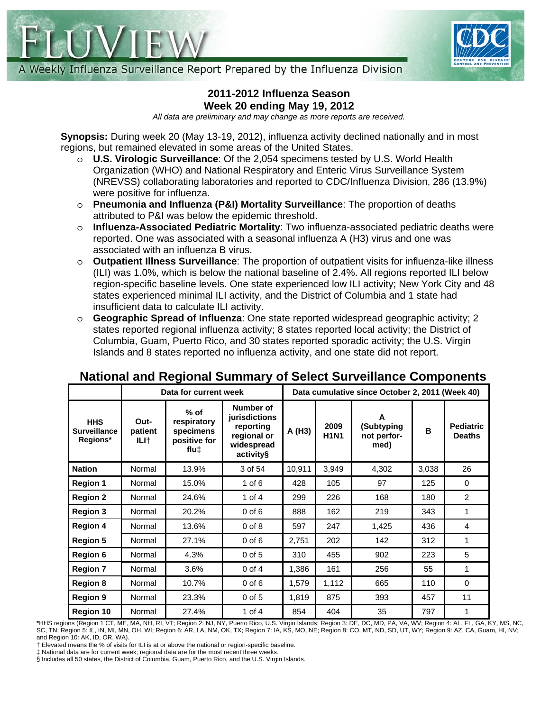



A Weekly Influenza Surveillance Report Prepared by the Influenza Division

# **2011-2012 Influenza Season Week 20 ending May 19, 2012**

*All data are preliminary and may change as more reports are received.* 

**Synopsis:** During week 20 (May 13-19, 2012), influenza activity declined nationally and in most regions, but remained elevated in some areas of the United States.

- o **U.S. Virologic Surveillance**: Of the 2,054 specimens tested by U.S. World Health Organization (WHO) and National Respiratory and Enteric Virus Surveillance System (NREVSS) collaborating laboratories and reported to CDC/Influenza Division, 286 (13.9%) were positive for influenza.
- o **Pneumonia and Influenza (P&I) Mortality Surveillance**: The proportion of deaths attributed to P&I was below the epidemic threshold.
- o **Influenza-Associated Pediatric Mortality**: Two influenza-associated pediatric deaths were reported. One was associated with a seasonal influenza A (H3) virus and one was associated with an influenza B virus.
- o **Outpatient Illness Surveillance**: The proportion of outpatient visits for influenza-like illness (ILI) was 1.0%, which is below the national baseline of 2.4%. All regions reported ILI below region-specific baseline levels. One state experienced low ILI activity; New York City and 48 states experienced minimal ILI activity, and the District of Columbia and 1 state had insufficient data to calculate ILI activity.
- o **Geographic Spread of Influenza**: One state reported widespread geographic activity; 2 states reported regional influenza activity; 8 states reported local activity; the District of Columbia, Guam, Puerto Rico, and 30 states reported sporadic activity; the U.S. Virgin Islands and 8 states reported no influenza activity, and one state did not report.

|                                               |                         | Data for current week                                                   | Data cumulative since October 2, 2011 (Week 40)                                   |        |                     |                                        |       |                                   |
|-----------------------------------------------|-------------------------|-------------------------------------------------------------------------|-----------------------------------------------------------------------------------|--------|---------------------|----------------------------------------|-------|-----------------------------------|
| <b>HHS</b><br><b>Surveillance</b><br>Regions* | Out-<br>patient<br>ILI† | $%$ of<br>respiratory<br>specimens<br>positive for<br>flux <sub>1</sub> | Number of<br>jurisdictions<br>reporting<br>regional or<br>widespread<br>activity§ | A (H3) | 2009<br><b>H1N1</b> | A<br>(Subtyping<br>not perfor-<br>med) | B     | <b>Pediatric</b><br><b>Deaths</b> |
| <b>Nation</b>                                 | Normal                  | 13.9%                                                                   | 3 of 54                                                                           | 10,911 | 3,949               | 4,302                                  | 3,038 | 26                                |
| <b>Region 1</b>                               | Normal                  | 15.0%                                                                   | $1$ of $6$                                                                        | 428    | 105                 | 97                                     | 125   | $\Omega$                          |
| <b>Region 2</b>                               | Normal                  | 24.6%                                                                   | 1 of $4$                                                                          | 299    | 226                 | 168                                    | 180   | 2                                 |
| <b>Region 3</b>                               | Normal                  | 20.2%                                                                   | $0$ of $6$                                                                        | 888    | 162                 | 219                                    | 343   | 1                                 |
| <b>Region 4</b>                               | Normal                  | 13.6%                                                                   | $0$ of $8$                                                                        | 597    | 247                 | 1,425                                  | 436   | 4                                 |
| <b>Region 5</b>                               | Normal                  | 27.1%                                                                   | $0$ of $6$                                                                        | 2,751  | 202                 | 142                                    | 312   | 1                                 |
| <b>Region 6</b>                               | Normal                  | 4.3%                                                                    | $0$ of $5$                                                                        | 310    | 455                 | 902                                    | 223   | 5                                 |
| <b>Region 7</b>                               | Normal                  | 3.6%                                                                    | $0$ of $4$                                                                        | 1,386  | 161                 | 256                                    | 55    | 1                                 |
| <b>Region 8</b>                               | Normal                  | 10.7%                                                                   | $0$ of $6$                                                                        | 1,579  | 1,112               | 665                                    | 110   | $\Omega$                          |
| <b>Region 9</b>                               | Normal                  | 23.3%                                                                   | $0$ of $5$                                                                        | 1,819  | 875                 | 393                                    | 457   | 11                                |
| <b>Region 10</b>                              | Normal                  | 27.4%                                                                   | 1 of $4$                                                                          | 854    | 404                 | 35                                     | 797   | 1                                 |

# **National and Regional Summary of Select Surveillance Components**

**\***HHS regions (Region 1 CT, ME, MA, NH, RI, VT; Region 2: NJ, NY, Puerto Rico, U.S. Virgin Islands; Region 3: DE, DC, MD, PA, VA, WV; Region 4: AL, FL, GA, KY, MS, NC, SC, TN; Region 5: IL, IN, MI, MN, OH, WI; Region 6: AR, LA, NM, OK, TX; Region 7: IA, KS, MO, NE; Region 8: CO, MT, ND, SD, UT, WY; Region 9: AZ, CA, Guam, HI, NV; and Region 10: AK, ID, OR, WA).

† Elevated means the % of visits for ILI is at or above the national or region-specific baseline.

‡ National data are for current week; regional data are for the most recent three weeks.

§ Includes all 50 states, the District of Columbia, Guam, Puerto Rico, and the U.S. Virgin Islands.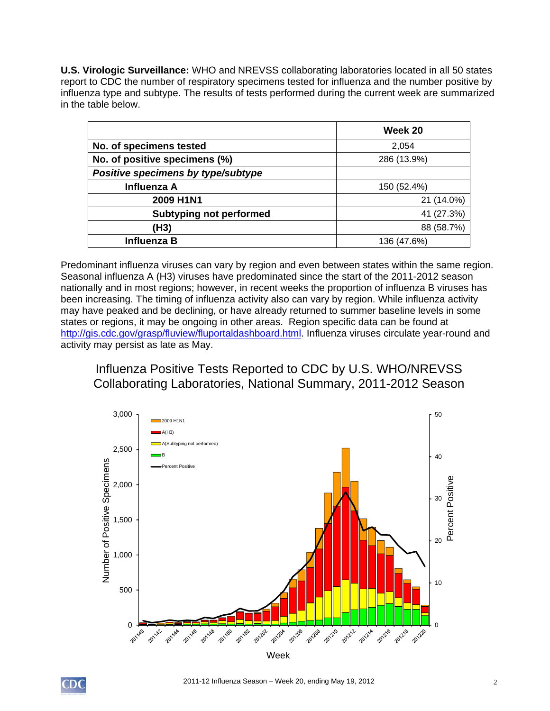**U.S. Virologic Surveillance:** WHO and NREVSS collaborating laboratories located in all 50 states report to CDC the number of respiratory specimens tested for influenza and the number positive by influenza type and subtype. The results of tests performed during the current week are summarized in the table below.

|                                    | Week 20     |
|------------------------------------|-------------|
| No. of specimens tested            | 2,054       |
| No. of positive specimens (%)      | 286 (13.9%) |
| Positive specimens by type/subtype |             |
| Influenza A                        | 150 (52.4%) |
| 2009 H1N1                          | 21 (14.0%)  |
| <b>Subtyping not performed</b>     | 41 (27.3%)  |
| (H3)                               | 88 (58.7%)  |
| Influenza B                        | 136 (47.6%) |

Predominant influenza viruses can vary by region and even between states within the same region. Seasonal influenza A (H3) viruses have predominated since the start of the 2011-2012 season nationally and in most regions; however, in recent weeks the proportion of influenza B viruses has been increasing. The timing of influenza activity also can vary by region. While influenza activity may have peaked and be declining, or have already returned to summer baseline levels in some states or regions, it may be ongoing in other areas. Region specific data can be found at http://gis.cdc.gov/grasp/fluview/fluportaldashboard.html. Influenza viruses circulate year-round and activity may persist as late as May.

# Influenza Positive Tests Reported to CDC by U.S. WHO/NREVSS Collaborating Laboratories, National Summary, 2011-2012 Season

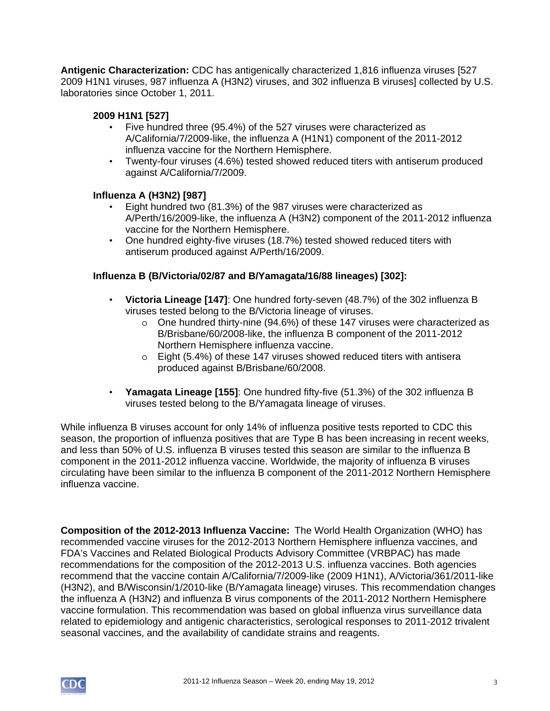**Antigenic Characterization:** CDC has antigenically characterized 1,816 influenza viruses [527 2009 H1N1 viruses, 987 influenza A (H3N2) viruses, and 302 influenza B viruses] collected by U.S. laboratories since October 1, 2011.

### **2009 H1N1 [527]**

- Five hundred three (95.4%) of the 527 viruses were characterized as A/California/7/2009-like, the influenza A (H1N1) component of the 2011-2012 influenza vaccine for the Northern Hemisphere.
- Twenty-four viruses (4.6%) tested showed reduced titers with antiserum produced against A/California/7/2009.

### **Influenza A (H3N2) [987]**

- Eight hundred two (81.3%) of the 987 viruses were characterized as A/Perth/16/2009-like, the influenza A (H3N2) component of the 2011-2012 influenza vaccine for the Northern Hemisphere.
- One hundred eighty-five viruses (18.7%) tested showed reduced titers with antiserum produced against A/Perth/16/2009.

## **Influenza B (B/Victoria/02/87 and B/Yamagata/16/88 lineages) [302]:**

- **Victoria Lineage [147]**: One hundred forty-seven (48.7%) of the 302 influenza B viruses tested belong to the B/Victoria lineage of viruses.
	- $\circ$  One hundred thirty-nine (94.6%) of these 147 viruses were characterized as B/Brisbane/60/2008-like, the influenza B component of the 2011-2012 Northern Hemisphere influenza vaccine.
	- o Eight (5.4%) of these 147 viruses showed reduced titers with antisera produced against B/Brisbane/60/2008.
- **Yamagata Lineage [155]**: One hundred fifty-five (51.3%) of the 302 influenza B viruses tested belong to the B/Yamagata lineage of viruses.

While influenza B viruses account for only 14% of influenza positive tests reported to CDC this season, the proportion of influenza positives that are Type B has been increasing in recent weeks, and less than 50% of U.S. influenza B viruses tested this season are similar to the influenza B component in the 2011-2012 influenza vaccine. Worldwide, the majority of influenza B viruses circulating have been similar to the influenza B component of the 2011-2012 Northern Hemisphere influenza vaccine.

**Composition of the 2012-2013 Influenza Vaccine:** The World Health Organization (WHO) has recommended vaccine viruses for the 2012-2013 Northern Hemisphere influenza vaccines, and FDA's Vaccines and Related Biological Products Advisory Committee (VRBPAC) has made recommendations for the composition of the 2012-2013 U.S. influenza vaccines. Both agencies recommend that the vaccine contain A/California/7/2009-like (2009 H1N1), A/Victoria/361/2011-like (H3N2), and B/Wisconsin/1/2010-like (B/Yamagata lineage) viruses. This recommendation changes the influenza A (H3N2) and influenza B virus components of the 2011-2012 Northern Hemisphere vaccine formulation. This recommendation was based on global influenza virus surveillance data related to epidemiology and antigenic characteristics, serological responses to 2011-2012 trivalent seasonal vaccines, and the availability of candidate strains and reagents.

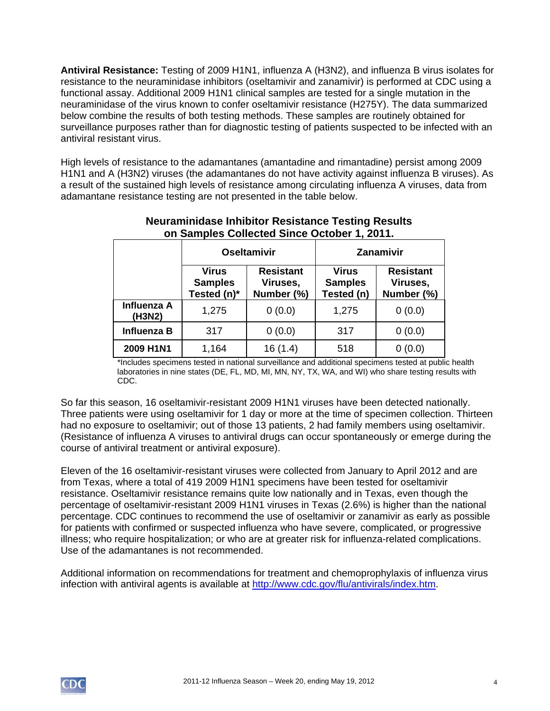**Antiviral Resistance:** Testing of 2009 H1N1, influenza A (H3N2), and influenza B virus isolates for resistance to the neuraminidase inhibitors (oseltamivir and zanamivir) is performed at CDC using a functional assay. Additional 2009 H1N1 clinical samples are tested for a single mutation in the neuraminidase of the virus known to confer oseltamivir resistance (H275Y). The data summarized below combine the results of both testing methods. These samples are routinely obtained for surveillance purposes rather than for diagnostic testing of patients suspected to be infected with an antiviral resistant virus.

High levels of resistance to the adamantanes (amantadine and rimantadine) persist among 2009 H1N1 and A (H3N2) viruses (the adamantanes do not have activity against influenza B viruses). As a result of the sustained high levels of resistance among circulating influenza A viruses, data from adamantane resistance testing are not presented in the table below.

|                       |                                        | <b>Oseltamivir</b>                         | <b>Zanamivir</b>                             |                                            |  |  |
|-----------------------|----------------------------------------|--------------------------------------------|----------------------------------------------|--------------------------------------------|--|--|
|                       | Virus<br><b>Samples</b><br>Tested (n)* | <b>Resistant</b><br>Viruses,<br>Number (%) | <b>Virus</b><br><b>Samples</b><br>Tested (n) | <b>Resistant</b><br>Viruses,<br>Number (%) |  |  |
| Influenza A<br>(H3N2) | 1,275                                  | 0(0.0)                                     | 1,275                                        | 0(0.0)                                     |  |  |
| Influenza B           | 317                                    | 0(0.0)                                     | 317                                          | 0(0.0)                                     |  |  |
| 2009 H1N1             | 1,164                                  | 16(1.4)                                    | 518                                          |                                            |  |  |

## **Neuraminidase Inhibitor Resistance Testing Results on Samples Collected Since October 1, 2011.**

\*Includes specimens tested in national surveillance and additional specimens tested at public health laboratories in nine states (DE, FL, MD, MI, MN, NY, TX, WA, and WI) who share testing results with CDC.

So far this season, 16 oseltamivir-resistant 2009 H1N1 viruses have been detected nationally. Three patients were using oseltamivir for 1 day or more at the time of specimen collection. Thirteen had no exposure to oseltamivir; out of those 13 patients, 2 had family members using oseltamivir. (Resistance of influenza A viruses to antiviral drugs can occur spontaneously or emerge during the course of antiviral treatment or antiviral exposure).

Eleven of the 16 oseltamivir-resistant viruses were collected from January to April 2012 and are from Texas, where a total of 419 2009 H1N1 specimens have been tested for oseltamivir resistance. Oseltamivir resistance remains quite low nationally and in Texas, even though the percentage of oseltamivir-resistant 2009 H1N1 viruses in Texas (2.6%) is higher than the national percentage. CDC continues to recommend the use of oseltamivir or zanamivir as early as possible for patients with confirmed or suspected influenza who have severe, complicated, or progressive illness; who require hospitalization; or who are at greater risk for influenza-related complications. Use of the adamantanes is not recommended.

Additional information on recommendations for treatment and chemoprophylaxis of influenza virus infection with antiviral agents is available at http://www.cdc.gov/flu/antivirals/index.htm.

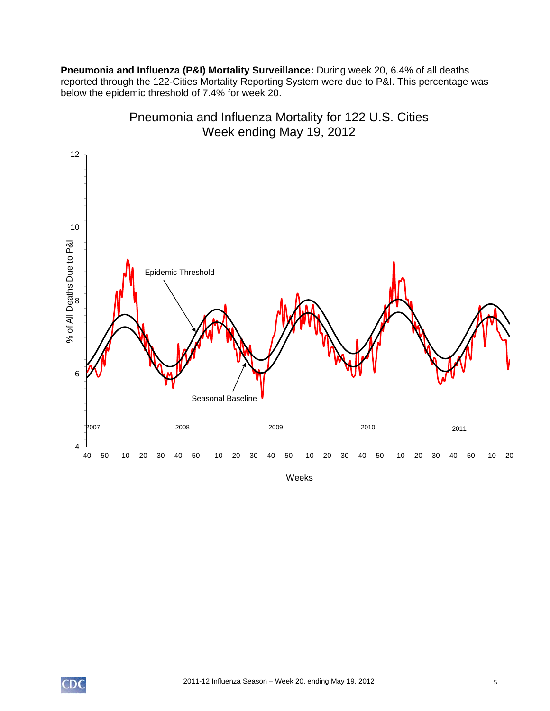**Pneumonia and Influenza (P&I) Mortality Surveillance:** During week 20, 6.4% of all deaths reported through the 122-Cities Mortality Reporting System were due to P&I. This percentage was below the epidemic threshold of 7.4% for week 20.



Pneumonia and Influenza Mortality for 122 U.S. Cities Week ending May 19, 2012

Weeks

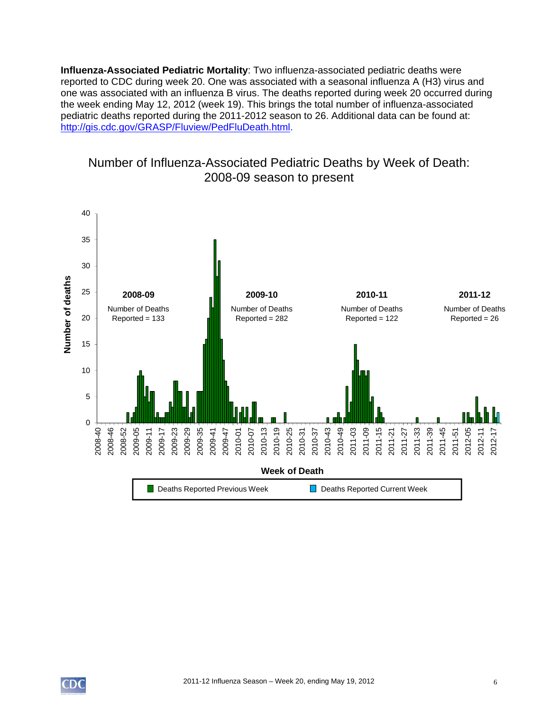**Influenza-Associated Pediatric Mortality**: Two influenza-associated pediatric deaths were reported to CDC during week 20. One was associated with a seasonal influenza A (H3) virus and one was associated with an influenza B virus. The deaths reported during week 20 occurred during the week ending May 12, 2012 (week 19). This brings the total number of influenza-associated pediatric deaths reported during the 2011-2012 season to 26. Additional data can be found at: http://gis.cdc.gov/GRASP/Fluview/PedFluDeath.html.



# Number of Influenza-Associated Pediatric Deaths by Week of Death: 2008-09 season to present

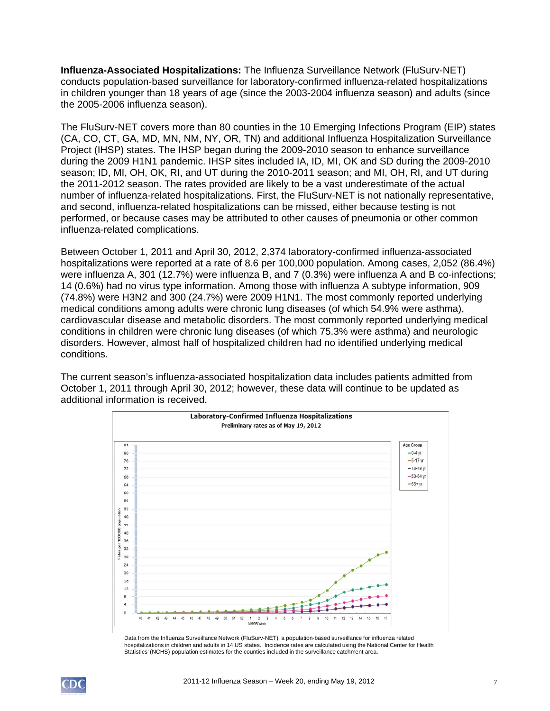**Influenza-Associated Hospitalizations:** The Influenza Surveillance Network (FluSurv-NET) conducts population-based surveillance for laboratory-confirmed influenza-related hospitalizations in children younger than 18 years of age (since the 2003-2004 influenza season) and adults (since the 2005-2006 influenza season).

The FluSurv-NET covers more than 80 counties in the 10 Emerging Infections Program (EIP) states (CA, CO, CT, GA, MD, MN, NM, NY, OR, TN) and additional Influenza Hospitalization Surveillance Project (IHSP) states. The IHSP began during the 2009-2010 season to enhance surveillance during the 2009 H1N1 pandemic. IHSP sites included IA, ID, MI, OK and SD during the 2009-2010 season; ID, MI, OH, OK, RI, and UT during the 2010-2011 season; and MI, OH, RI, and UT during the 2011-2012 season. The rates provided are likely to be a vast underestimate of the actual number of influenza-related hospitalizations. First, the FluSurv-NET is not nationally representative, and second, influenza-related hospitalizations can be missed, either because testing is not performed, or because cases may be attributed to other causes of pneumonia or other common influenza-related complications.

Between October 1, 2011 and April 30, 2012, 2,374 laboratory-confirmed influenza-associated hospitalizations were reported at a rate of 8.6 per 100,000 population. Among cases, 2,052 (86.4%) were influenza A, 301 (12.7%) were influenza B, and 7 (0.3%) were influenza A and B co-infections; 14 (0.6%) had no virus type information. Among those with influenza A subtype information, 909 (74.8%) were H3N2 and 300 (24.7%) were 2009 H1N1. The most commonly reported underlying medical conditions among adults were chronic lung diseases (of which 54.9% were asthma), cardiovascular disease and metabolic disorders. The most commonly reported underlying medical conditions in children were chronic lung diseases (of which 75.3% were asthma) and neurologic disorders. However, almost half of hospitalized children had no identified underlying medical conditions.

The current season's influenza-associated hospitalization data includes patients admitted from October 1, 2011 through April 30, 2012; however, these data will continue to be updated as additional information is received.



Data from the Influenza Surveillance Network (FluSurv-NET), a population-based surveillance for influenza related hospitalizations in children and adults in 14 US states. Incidence rates are calculated using the National Center for Health Statistics' (NCHS) population estimates for the counties included in the surveillance catchment area.

![](_page_6_Picture_6.jpeg)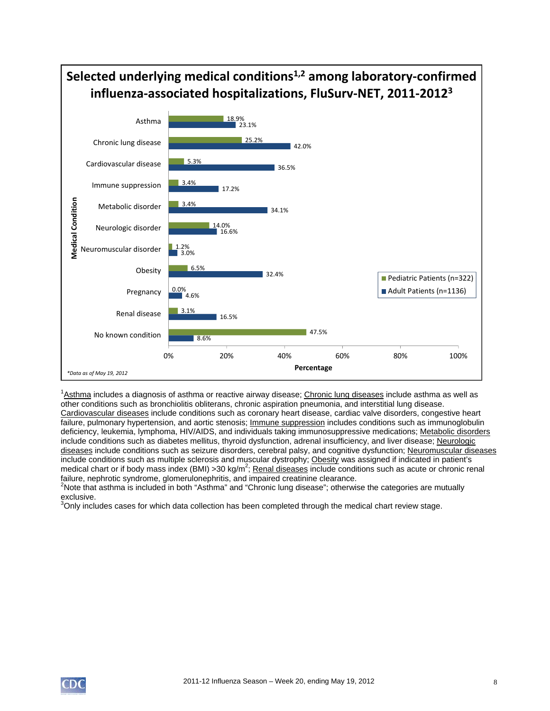![](_page_7_Figure_0.jpeg)

<sup>1</sup>Asthma includes a diagnosis of asthma or reactive airway disease; Chronic lung diseases include asthma as well as other conditions such as bronchiolitis obliterans, chronic aspiration pneumonia, and interstitial lung disease. Cardiovascular diseases include conditions such as coronary heart disease, cardiac valve disorders, congestive heart failure, pulmonary hypertension, and aortic stenosis; *Immune suppression* includes conditions such as immunoglobulin deficiency, leukemia, lymphoma, HIV/AIDS, and individuals taking immunosuppressive medications; Metabolic disorders include conditions such as diabetes mellitus, thyroid dysfunction, adrenal insufficiency, and liver disease; Neurologic diseases include conditions such as seizure disorders, cerebral palsy, and cognitive dysfunction; Neuromuscular diseases include conditions such as multiple sclerosis and muscular dystrophy; Obesity was assigned if indicated in patient's medical chart or if body mass index (BMI) > 30 kg/m<sup>2</sup>; Renal diseases include conditions such as acute or chronic renal failure, nephrotic syndrome, glomerulonephritis, and impaired creatinine clearance.

 $2$ Note that asthma is included in both "Asthma" and "Chronic lung disease"; otherwise the categories are mutually exclusive.

 $3$ Only includes cases for which data collection has been completed through the medical chart review stage.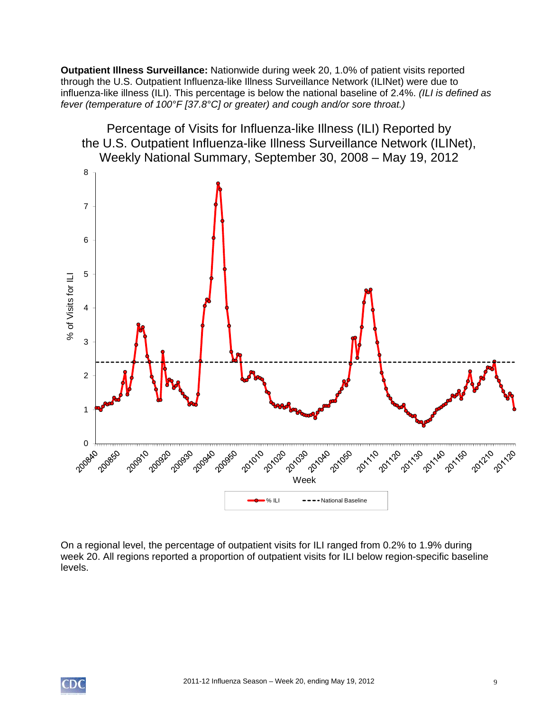**Outpatient Illness Surveillance:** Nationwide during week 20, 1.0% of patient visits reported through the U.S. Outpatient Influenza-like Illness Surveillance Network (ILINet) were due to influenza-like illness (ILI). This percentage is below the national baseline of 2.4%. *(ILI is defined as fever (temperature of 100°F [37.8°C] or greater) and cough and/or sore throat.)* 

![](_page_8_Figure_1.jpeg)

On a regional level, the percentage of outpatient visits for ILI ranged from 0.2% to 1.9% during week 20. All regions reported a proportion of outpatient visits for ILI below region-specific baseline levels.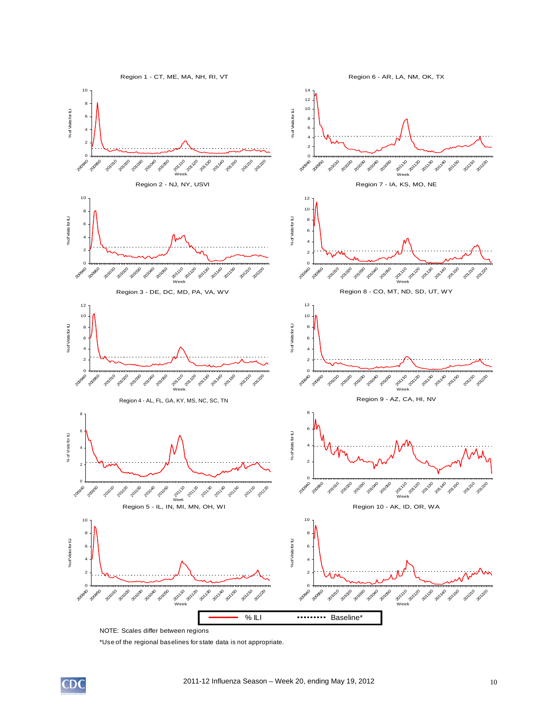![](_page_9_Figure_0.jpeg)

NOTE: Scales differ between regions

\*Use of the regional baselines for state data is not appropriate.

![](_page_9_Picture_3.jpeg)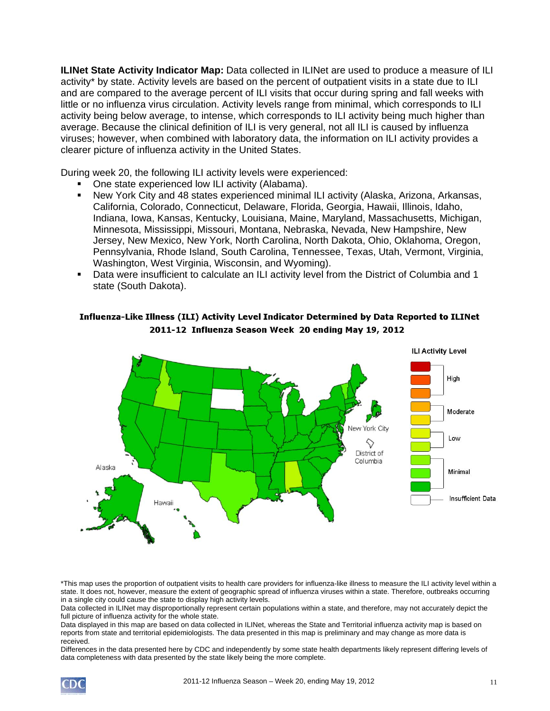**ILINet State Activity Indicator Map:** Data collected in ILINet are used to produce a measure of ILI activity\* by state. Activity levels are based on the percent of outpatient visits in a state due to ILI and are compared to the average percent of ILI visits that occur during spring and fall weeks with little or no influenza virus circulation. Activity levels range from minimal, which corresponds to ILI activity being below average, to intense, which corresponds to ILI activity being much higher than average. Because the clinical definition of ILI is very general, not all ILI is caused by influenza viruses; however, when combined with laboratory data, the information on ILI activity provides a clearer picture of influenza activity in the United States.

During week 20, the following ILI activity levels were experienced:

- One state experienced low ILI activity (Alabama).
- New York City and 48 states experienced minimal ILI activity (Alaska, Arizona, Arkansas, California, Colorado, Connecticut, Delaware, Florida, Georgia, Hawaii, Illinois, Idaho, Indiana, Iowa, Kansas, Kentucky, Louisiana, Maine, Maryland, Massachusetts, Michigan, Minnesota, Mississippi, Missouri, Montana, Nebraska, Nevada, New Hampshire, New Jersey, New Mexico, New York, North Carolina, North Dakota, Ohio, Oklahoma, Oregon, Pennsylvania, Rhode Island, South Carolina, Tennessee, Texas, Utah, Vermont, Virginia, Washington, West Virginia, Wisconsin, and Wyoming).
- Data were insufficient to calculate an ILI activity level from the District of Columbia and 1 state (South Dakota).

![](_page_10_Figure_5.jpeg)

#### Influenza-Like Illness (ILI) Activity Level Indicator Determined by Data Reported to ILINet 2011-12 Influenza Season Week 20 ending May 19, 2012

\*This map uses the proportion of outpatient visits to health care providers for influenza-like illness to measure the ILI activity level within a state. It does not, however, measure the extent of geographic spread of influenza viruses within a state. Therefore, outbreaks occurring in a single city could cause the state to display high activity levels.

Data collected in ILINet may disproportionally represent certain populations within a state, and therefore, may not accurately depict the full picture of influenza activity for the whole state.

Data displayed in this map are based on data collected in ILINet, whereas the State and Territorial influenza activity map is based on reports from state and territorial epidemiologists. The data presented in this map is preliminary and may change as more data is received.

Differences in the data presented here by CDC and independently by some state health departments likely represent differing levels of data completeness with data presented by the state likely being the more complete.

![](_page_10_Picture_11.jpeg)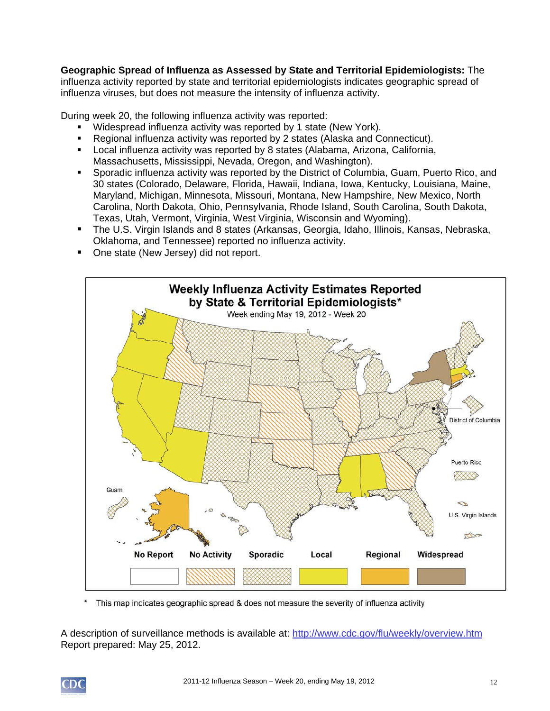**Geographic Spread of Influenza as Assessed by State and Territorial Epidemiologists:** The influenza activity reported by state and territorial epidemiologists indicates geographic spread of influenza viruses, but does not measure the intensity of influenza activity.

During week 20, the following influenza activity was reported:

- Widespread influenza activity was reported by 1 state (New York).
- Regional influenza activity was reported by 2 states (Alaska and Connecticut).
- Local influenza activity was reported by 8 states (Alabama, Arizona, California, Massachusetts, Mississippi, Nevada, Oregon, and Washington).
- Sporadic influenza activity was reported by the District of Columbia, Guam, Puerto Rico, and 30 states (Colorado, Delaware, Florida, Hawaii, Indiana, Iowa, Kentucky, Louisiana, Maine, Maryland, Michigan, Minnesota, Missouri, Montana, New Hampshire, New Mexico, North Carolina, North Dakota, Ohio, Pennsylvania, Rhode Island, South Carolina, South Dakota, Texas, Utah, Vermont, Virginia, West Virginia, Wisconsin and Wyoming).
- The U.S. Virgin Islands and 8 states (Arkansas, Georgia, Idaho, Illinois, Kansas, Nebraska, Oklahoma, and Tennessee) reported no influenza activity.
- One state (New Jersey) did not report.

![](_page_11_Figure_8.jpeg)

This map indicates geographic spread & does not measure the severity of influenza activity

A description of surveillance methods is available at: http://www.cdc.gov/flu/weekly/overview.htm Report prepared: May 25, 2012.

![](_page_11_Picture_11.jpeg)